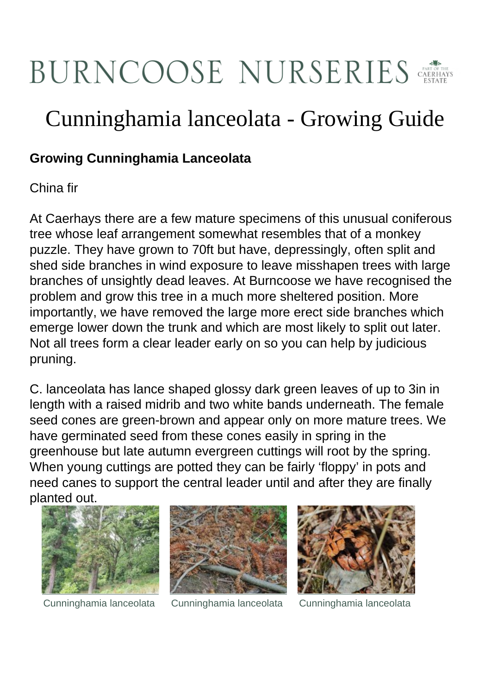## BURNCOOSE NURSERIES

## Cunninghamia lanceolata - Growing Guide

## **Growing Cunninghamia Lanceolata**

China fir

At Caerhays there are a few mature specimens of this unusual coniferous tree whose leaf arrangement somewhat resembles that of a monkey puzzle. They have grown to 70ft but have, depressingly, often split and shed side branches in wind exposure to leave misshapen trees with large branches of unsightly dead leaves. At Burncoose we have recognised the problem and grow this tree in a much more sheltered position. More importantly, we have removed the large more erect side branches which emerge lower down the trunk and which are most likely to split out later. Not all trees form a clear leader early on so you can help by judicious pruning.

C. lanceolata has lance shaped glossy dark green leaves of up to 3in in length with a raised midrib and two white bands underneath. The female seed cones are green-brown and appear only on more mature trees. We have germinated seed from these cones easily in spring in the greenhouse but late autumn evergreen cuttings will root by the spring. When young cuttings are potted they can be fairly 'floppy' in pots and need canes to support the central leader until and after they are finally planted out.





Cunninghamia lanceolata Cunninghamia lanceolata Cunninghamia lanceolata